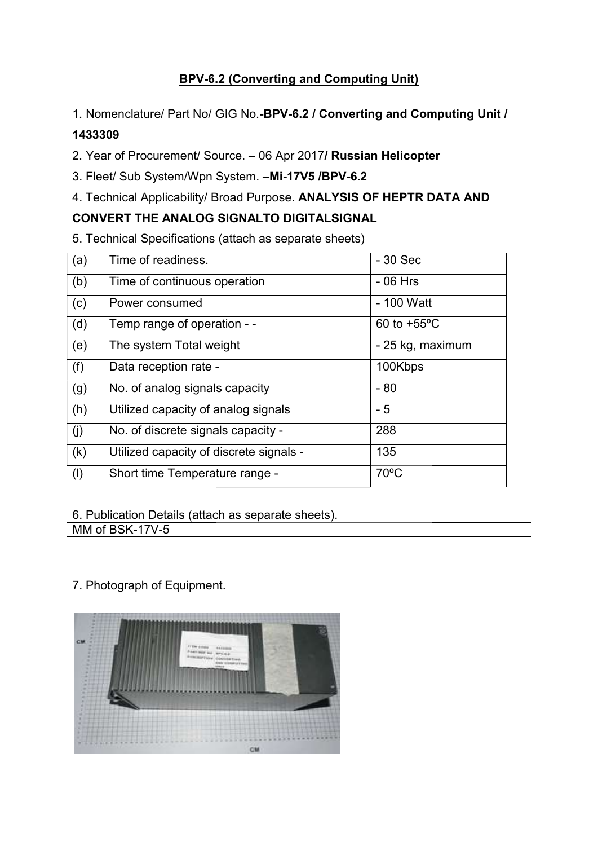# **BPV-6.2 (Converting and Computing Unit)**

1. Nomenclature/ Part No/ GIG No.-BPV-6.2 / Converting and Computing Unit /

## 1433309

- 3. Fleet/ Sub System/Wpn System. -Mi-17V5 /BPV-6.2
- 4. Technical Applicability/ Broad Purpose. ANALYSIS OF HEPTR DATA AND

## CONVERT THE ANALOG SIGNALTO DIGITALSIGNAL

| 1. Nomenclature/ Part No/ GIG No.-BPV-6.2 / Converting and Computing Unit / |                                         |                  |  |
|-----------------------------------------------------------------------------|-----------------------------------------|------------------|--|
| 1433309                                                                     |                                         |                  |  |
| 2. Year of Procurement/ Source. - 06 Apr 2017/ Russian Helicopter           |                                         |                  |  |
| 3. Fleet/ Sub System/Wpn System. -Mi-17V5 /BPV-6.2                          |                                         |                  |  |
| 4. Technical Applicability/ Broad Purpose. ANALYSIS OF HEPTR DATA AND       |                                         |                  |  |
| CONVERT THE ANALOG SIGNALTO DIGITALSIGNAL                                   |                                         |                  |  |
| 5. Technical Specifications (attach as separate sheets)                     |                                         |                  |  |
| (a)                                                                         | Time of readiness.                      | $-30$ Sec        |  |
| (b)                                                                         | Time of continuous operation            | $-06$ Hrs        |  |
| (c)                                                                         | Power consumed                          | - 100 Watt       |  |
| (d)                                                                         | Temp range of operation - -             | 60 to +55°C      |  |
| (e)                                                                         | The system Total weight                 | - 25 kg, maximum |  |
| (f)                                                                         | Data reception rate -                   | 100Kbps          |  |
| (g)                                                                         | No. of analog signals capacity          | $-80$            |  |
| (h)                                                                         | Utilized capacity of analog signals     | $-5$             |  |
| (j)                                                                         | No. of discrete signals capacity -      | 288              |  |
| (k)                                                                         | Utilized capacity of discrete signals - | 135              |  |
| (1)                                                                         | Short time Temperature range -          | 70°C             |  |
|                                                                             |                                         |                  |  |
| 6. Publication Details (attach as separate sheets).                         |                                         |                  |  |
| MM of BSK-17V-5                                                             |                                         |                  |  |
|                                                                             |                                         |                  |  |
|                                                                             |                                         |                  |  |
|                                                                             | 7. Photograph of Equipment.             |                  |  |

7. Photograph of Equipment.